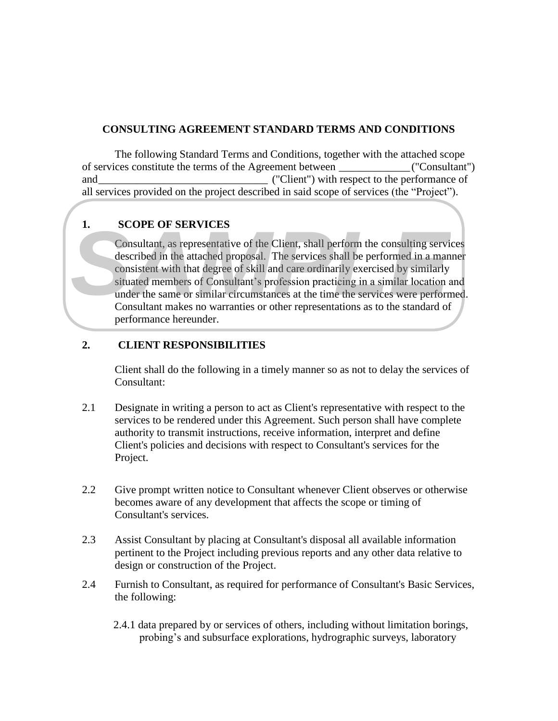#### **CONSULTING AGREEMENT STANDARD TERMS AND CONDITIONS**

The following Standard Terms and Conditions, together with the attached scope of services constitute the terms of the Agreement between \_\_\_\_\_\_\_\_\_\_\_\_\_ ("Consultant") and  $($ "Client") with respect to the performance of all services provided on the project described in said scope of services (the "Project").

# **1. SCOPE OF SERVICES**

Consultant, as representative of the Client, shall perform the consulting services described in the attached proposal. The services shall be performed in a manner consistent with that degree of skill and care ordinarily exercised by similarly situated members of Consultant's profession practicing in a similar location and under the same or similar circumstances at the time the services were performed. Consultant makes no warranties or other representations as to the standard of performance hereunder. **EXENTERS**<br> **EXENTERS**<br> **EXENDINATION AS representative of the Client, shall performed in a manneon described in the attached proposal. The services shall be performed in a manneon dissisted members of Consultant's profess** 

#### **2. CLIENT RESPONSIBILITIES**

Client shall do the following in a timely manner so as not to delay the services of Consultant:

- 2.1 Designate in writing a person to act as Client's representative with respect to the services to be rendered under this Agreement. Such person shall have complete authority to transmit instructions, receive information, interpret and define Client's policies and decisions with respect to Consultant's services for the Project.
- 2.2 Give prompt written notice to Consultant whenever Client observes or otherwise becomes aware of any development that affects the scope or timing of Consultant's services.
- 2.3 Assist Consultant by placing at Consultant's disposal all available information pertinent to the Project including previous reports and any other data relative to design or construction of the Project.
- 2.4 Furnish to Consultant, as required for performance of Consultant's Basic Services, the following:
	- 2.4.1 data prepared by or services of others, including without limitation borings,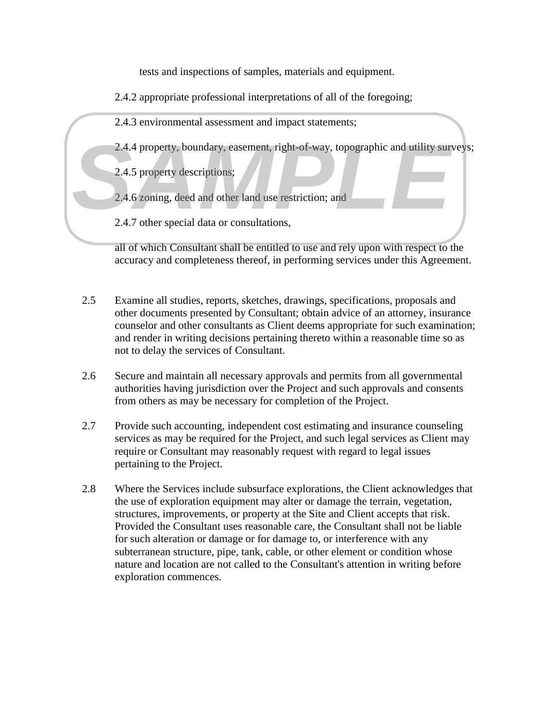tests and inspections of samples, materials and equipment.

- 2.4.2 appropriate professional interpretations of all of the foregoing;
- 2.4.3 environmental assessment and impact statements;
- 2.4.4 property, boundary, easement, right-of-way, topographic and utility surveys;<br>
2.4.5 property descriptions;<br>
2.4.6 zoning, deed and other land use restriction; and<br>
2.4.7 other special data or consultations.
	- 2.4.5 property descriptions;
	- 2.4.6 zoning, deed and other land use restriction; and
	- 2.4.7 other special data or consultations,

all of which Consultant shall be entitled to use and rely upon with respect to the accuracy and completeness thereof, in performing services under this Agreement.

- 2.5 Examine all studies, reports, sketches, drawings, specifications, proposals and other documents presented by Consultant; obtain advice of an attorney, insurance counselor and other consultants as Client deems appropriate for such examination; and render in writing decisions pertaining thereto within a reasonable time so as not to delay the services of Consultant.
- 2.6 Secure and maintain all necessary approvals and permits from all governmental authorities having jurisdiction over the Project and such approvals and consents from others as may be necessary for completion of the Project.
- 2.7 Provide such accounting, independent cost estimating and insurance counseling services as may be required for the Project, and such legal services as Client may require or Consultant may reasonably request with regard to legal issues pertaining to the Project.
- 2.8 Where the Services include subsurface explorations, the Client acknowledges that the use of exploration equipment may alter or damage the terrain, vegetation, structures, improvements, or property at the Site and Client accepts that risk. Provided the Consultant uses reasonable care, the Consultant shall not be liable for such alteration or damage or for damage to, or interference with any subterranean structure, pipe, tank, cable, or other element or condition whose nature and location are not called to the Consultant's attention in writing before exploration commences.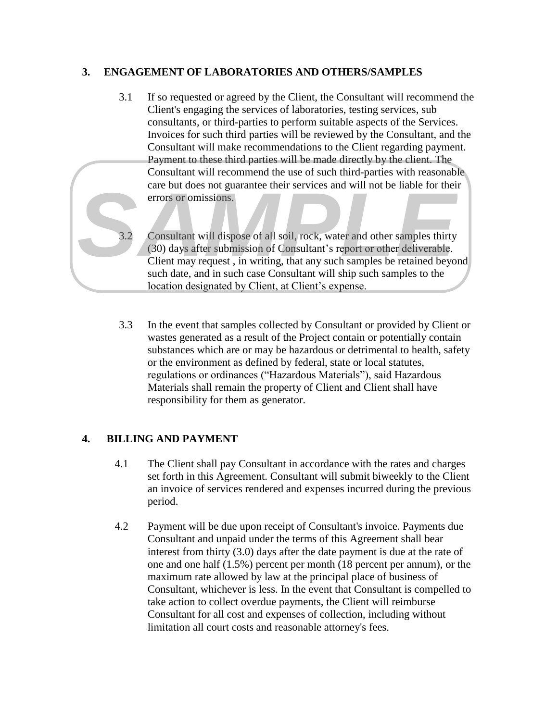### **3. ENGAGEMENT OF LABORATORIES AND OTHERS/SAMPLES**

- 3.1 If so requested or agreed by the Client, the Consultant will recommend the Client's engaging the services of laboratories, testing services, sub consultants, or third-parties to perform suitable aspects of the Services. Invoices for such third parties will be reviewed by the Consultant, and the Consultant will make recommendations to the Client regarding payment. Payment to these third parties will be made directly by the client. The Consultant will recommend the use of such third-parties with reasonable care but does not guarantee their services and will not be liable for their errors or omissions.
- 3.2 Consultant will dispose of all soil, rock, water and other samples thirty (30) days after submission of Consultant's report or other deliverable. Client may request , in writing, that any such samples be retained beyond such date, and in such case Consultant will ship such samples to the location designated by Client, at Client's expense.
- 3.3 In the event that samples collected by Consultant or provided by Client or wastes generated as a result of the Project contain or potentially contain substances which are or may be hazardous or detrimental to health, safety or the environment as defined by federal, state or local statutes, regulations or ordinances ("Hazardous Materials"), said Hazardous Materials shall remain the property of Client and Client shall have responsibility for them as generator.

# **4. BILLING AND PAYMENT**

- 4.1 The Client shall pay Consultant in accordance with the rates and charges set forth in this Agreement. Consultant will submit biweekly to the Client an invoice of services rendered and expenses incurred during the previous period.
- 4.2 Payment will be due upon receipt of Consultant's invoice. Payments due Consultant and unpaid under the terms of this Agreement shall bear interest from thirty (3.0) days after the date payment is due at the rate of one and one half (1.5%) percent per month (18 percent per annum), or the maximum rate allowed by law at the principal place of business of Consultant, whichever is less. In the event that Consultant is compelled to take action to collect overdue payments, the Client will reimburse Consultant for all cost and expenses of collection, including without For this does not guarantee their services and will not he hiable for the<br>
errors of omissions.<br>
(On days after submission of Consultant)'s report or chief rangibles thirty<br>
(Diet may request, in writing, that any such sam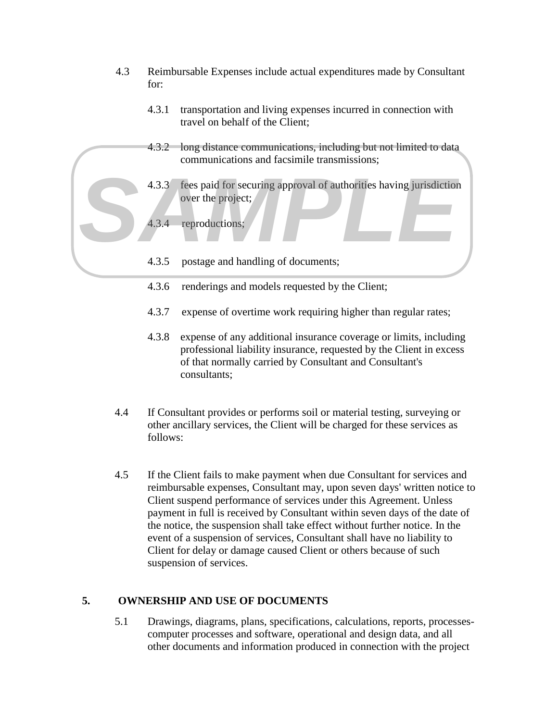- 4.3 Reimbursable Expenses include actual expenditures made by Consultant for:
	- 4.3.1 transportation and living expenses incurred in connection with travel on behalf of the Client;
	- 4.3.2 long distance communications, including but not limited to data communications and facsimile transmissions;
	- 4.3.3 fees paid for securing approval of authorities having jurisdiction over the project;
	- 4.3.4 reproductions;
	- 4.3.5 postage and handling of documents;
	- 4.3.6 renderings and models requested by the Client;
	- 4.3.7 expense of overtime work requiring higher than regular rates;
	- 4.3.8 expense of any additional insurance coverage or limits, including professional liability insurance, requested by the Client in excess of that normally carried by Consultant and Consultant's consultants;
- 4.4 If Consultant provides or performs soil or material testing, surveying or other ancillary services, the Client will be charged for these services as follows:
- 4.5 If the Client fails to make payment when due Consultant for services and reimbursable expenses, Consultant may, upon seven days' written notice to Client suspend performance of services under this Agreement. Unless payment in full is received by Consultant within seven days of the date of the notice, the suspension shall take effect without further notice. In the event of a suspension of services, Consultant shall have no liability to Client for delay or damage caused Client or others because of such suspension of services. **4.3.3** frees paid for securing approval of authorities having jurisdiction<br>over the project;<br>**4.3.5** rootage and handling of documents;<br>**4.3.6** renderings and models requested by the Client;<br>**4.3.6** renderings and models

# **5. OWNERSHIP AND USE OF DOCUMENTS**

5.1 Drawings, diagrams, plans, specifications, calculations, reports, processescomputer processes and software, operational and design data, and all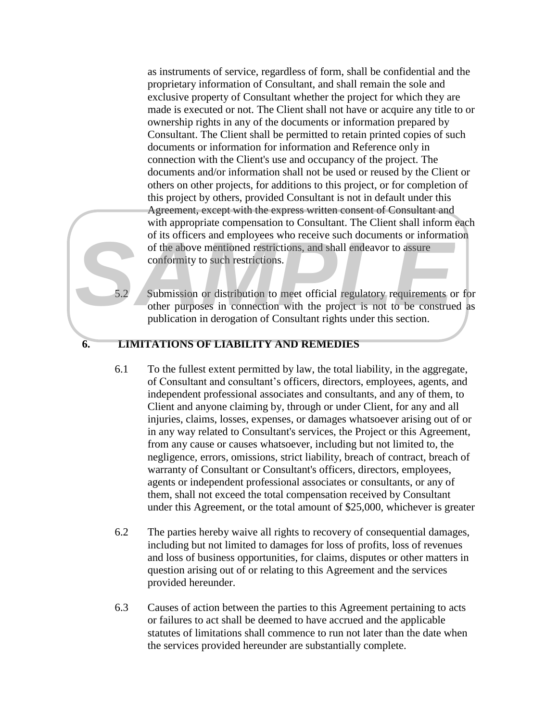as instruments of service, regardless of form, shall be confidential and the proprietary information of Consultant, and shall remain the sole and exclusive property of Consultant whether the project for which they are made is executed or not. The Client shall not have or acquire any title to or ownership rights in any of the documents or information prepared by Consultant. The Client shall be permitted to retain printed copies of such documents or information for information and Reference only in connection with the Client's use and occupancy of the project. The documents and/or information shall not be used or reused by the Client or others on other projects, for additions to this project, or for completion of this project by others, provided Consultant is not in default under this Agreement, except with the express written consent of Consultant and with appropriate compensation to Consultant. The Client shall inform each of its officers and employees who receive such documents or information of the above mentioned restrictions, and shall endeavor to assure conformity to such restrictions.

5.2 Submission or distribution to meet official regulatory requirements or for other purposes in connection with the project is not to be construed as publication in derogation of Consultant rights under this section.

#### **6. LIMITATIONS OF LIABILITY AND REMEDIES**

- 6.1 To the fullest extent permitted by law, the total liability, in the aggregate, of Consultant and consultant's officers, directors, employees, agents, and independent professional associates and consultants, and any of them, to Client and anyone claiming by, through or under Client, for any and all injuries, claims, losses, expenses, or damages whatsoever arising out of or in any way related to Consultant's services, the Project or this Agreement, from any cause or causes whatsoever, including but not limited to, the negligence, errors, omissions, strict liability, breach of contract, breach of warranty of Consultant or Consultant's officers, directors, employees, agents or independent professional associates or consultants, or any of them, shall not exceed the total compensation received by Consultant under this Agreement, or the total amount of \$25,000, whichever is greater of its officers and employees who receive such documents or informated are computed to assume conformity to such restrictions, and shall endeavor to assume conformity to such restrictions.<br>
S. S. S. S. S. S. S. S. S. S. S.
	- 6.2 The parties hereby waive all rights to recovery of consequential damages, including but not limited to damages for loss of profits, loss of revenues and loss of business opportunities, for claims, disputes or other matters in question arising out of or relating to this Agreement and the services provided hereunder.
	- 6.3 Causes of action between the parties to this Agreement pertaining to acts or failures to act shall be deemed to have accrued and the applicable statutes of limitations shall commence to run not later than the date when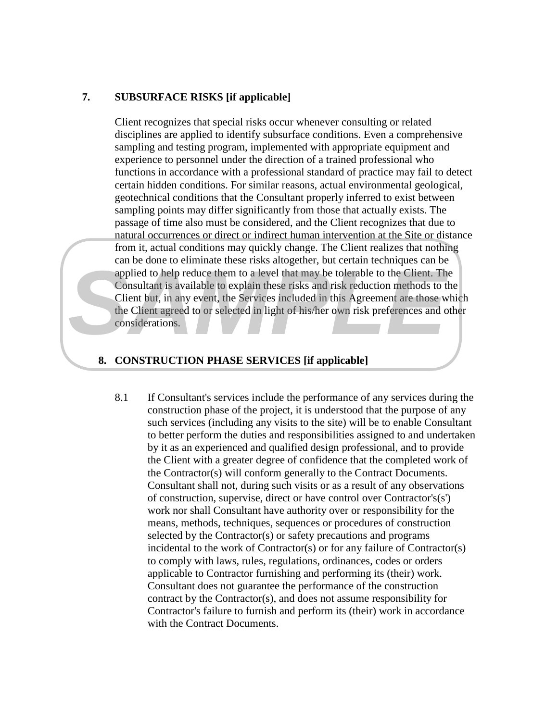#### **7. SUBSURFACE RISKS [if applicable]**

Client recognizes that special risks occur whenever consulting or related disciplines are applied to identify subsurface conditions. Even a comprehensive sampling and testing program, implemented with appropriate equipment and experience to personnel under the direction of a trained professional who functions in accordance with a professional standard of practice may fail to detect certain hidden conditions. For similar reasons, actual environmental geological, geotechnical conditions that the Consultant properly inferred to exist between sampling points may differ significantly from those that actually exists. The passage of time also must be considered, and the Client recognizes that due to natural occurrences or direct or indirect human intervention at the Site or distance from it, actual conditions may quickly change. The Client realizes that nothing can be done to eliminate these risks altogether, but certain techniques can be applied to help reduce them to a level that may be tolerable to the Client. The Consultant is available to explain these risks and risk reduction methods to the Client but, in any event, the Services included in this Agreement are those which the Client agreed to or selected in light of his/her own risk preferences and other considerations.

#### **8. CONSTRUCTION PHASE SERVICES [if applicable]**

8.1 If Consultant's services include the performance of any services during the construction phase of the project, it is understood that the purpose of any such services (including any visits to the site) will be to enable Consultant to better perform the duties and responsibilities assigned to and undertaken by it as an experienced and qualified design professional, and to provide the Client with a greater degree of confidence that the completed work of the Contractor(s) will conform generally to the Contract Documents. Consultant shall not, during such visits or as a result of any observations of construction, supervise, direct or have control over Contractor's(s') work nor shall Consultant have authority over or responsibility for the means, methods, techniques, sequences or procedures of construction selected by the Contractor(s) or safety precautions and programs incidental to the work of Contractor(s) or for any failure of Contractor(s) to comply with laws, rules, regulations, ordinances, codes or orders applicable to Contractor furnishing and performing its (their) work. Consultant does not guarantee the performance of the construction contract by the Contractor(s), and does not assume responsibility for Contractor's failure to furnish and perform its (their) work in accordance From the contract mass and gradient; out certain recurringtes can be compled to belp reduce them to a level that may be tolerable to the Client. The Consultant is available to explain these risks and risk reduction methods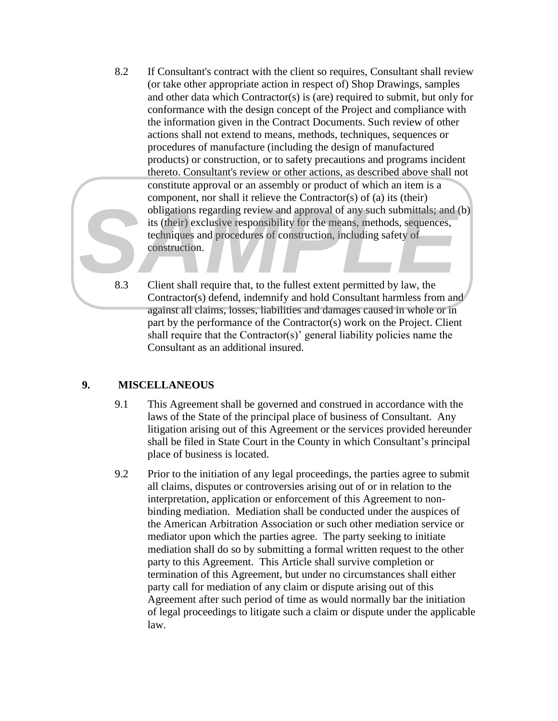- 8.2 If Consultant's contract with the client so requires, Consultant shall review (or take other appropriate action in respect of) Shop Drawings, samples and other data which Contractor(s) is (are) required to submit, but only for conformance with the design concept of the Project and compliance with the information given in the Contract Documents. Such review of other actions shall not extend to means, methods, techniques, sequences or procedures of manufacture (including the design of manufactured products) or construction, or to safety precautions and programs incident thereto. Consultant's review or other actions, as described above shall not constitute approval or an assembly or product of which an item is a component, nor shall it relieve the Contractor(s) of (a) its (their) obligations regarding review and approval of any such submittals; and (b) its (their) exclusive responsibility for the means, methods, sequences, techniques and procedures of construction, including safety of construction. For the contractor of the contractor of the contractor of the contractor of the contractor of the selection of the selection including safety of the means, methods, sequences, techniques and procedures of construction, inc
	- 8.3 Client shall require that, to the fullest extent permitted by law, the Contractor(s) defend, indemnify and hold Consultant harmless from and against all claims, losses, liabilities and damages caused in whole or in part by the performance of the Contractor(s) work on the Project. Client shall require that the Contractor(s)' general liability policies name the Consultant as an additional insured.

# **9. MISCELLANEOUS**

- 9.1 This Agreement shall be governed and construed in accordance with the laws of the State of the principal place of business of Consultant. Any litigation arising out of this Agreement or the services provided hereunder shall be filed in State Court in the County in which Consultant's principal place of business is located.
- 9.2 Prior to the initiation of any legal proceedings, the parties agree to submit all claims, disputes or controversies arising out of or in relation to the interpretation, application or enforcement of this Agreement to nonbinding mediation. Mediation shall be conducted under the auspices of the American Arbitration Association or such other mediation service or mediator upon which the parties agree. The party seeking to initiate mediation shall do so by submitting a formal written request to the other party to this Agreement. This Article shall survive completion or termination of this Agreement, but under no circumstances shall either party call for mediation of any claim or dispute arising out of this Agreement after such period of time as would normally bar the initiation of legal proceedings to litigate such a claim or dispute under the applicable law.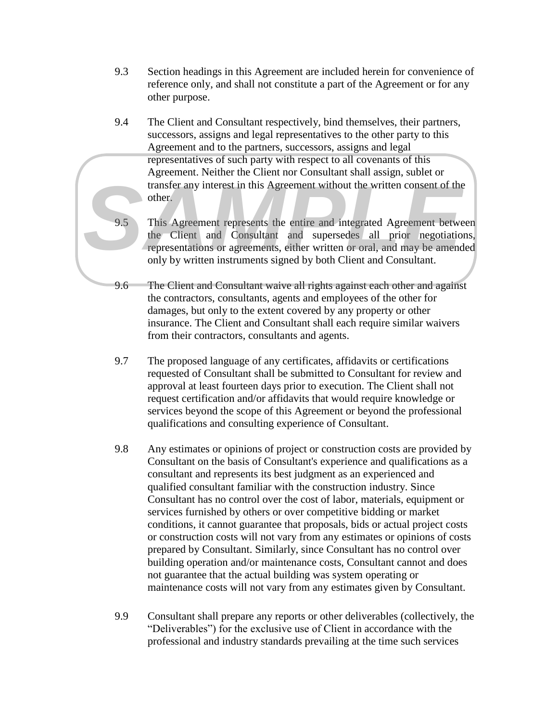- 9.3 Section headings in this Agreement are included herein for convenience of reference only, and shall not constitute a part of the Agreement or for any other purpose.
- 9.4 The Client and Consultant respectively, bind themselves, their partners, successors, assigns and legal representatives to the other party to this Agreement and to the partners, successors, assigns and legal representatives of such party with respect to all covenants of this Agreement. Neither the Client nor Consultant shall assign, sublet or transfer any interest in this Agreement without the written consent of the other.
- 9.5 This Agreement represents the entire and integrated Agreement between the Client and Consultant and supersedes all prior negotiations, representations or agreements, either written or oral, and may be amended only by written instruments signed by both Client and Consultant.
- 9.6 The Client and Consultant waive all rights against each other and against the contractors, consultants, agents and employees of the other for damages, but only to the extent covered by any property or other insurance. The Client and Consultant shall each require similar waivers from their contractors, consultants and agents.
- 9.7 The proposed language of any certificates, affidavits or certifications requested of Consultant shall be submitted to Consultant for review and approval at least fourteen days prior to execution. The Client shall not request certification and/or affidavits that would require knowledge or services beyond the scope of this Agreement or beyond the professional qualifications and consulting experience of Consultant.
- 9.8 Any estimates or opinions of project or construction costs are provided by Consultant on the basis of Consultant's experience and qualifications as a consultant and represents its best judgment as an experienced and qualified consultant familiar with the construction industry. Since Consultant has no control over the cost of labor, materials, equipment or services furnished by others or over competitive bidding or market conditions, it cannot guarantee that proposals, bids or actual project costs or construction costs will not vary from any estimates or opinions of costs prepared by Consultant. Similarly, since Consultant has no control over building operation and/or maintenance costs, Consultant cannot and does not guarantee that the actual building was system operating or maintenance costs will not vary from any estimates given by Consultant. profer any interest in this Agreement without the written consent of the other.<br>
This Agreement represents the unite and integrated Agreement between the This Agreement represents the unite and integrated all prior negotia
	- 9.9 Consultant shall prepare any reports or other deliverables (collectively, the "Deliverables") for the exclusive use of Client in accordance with the